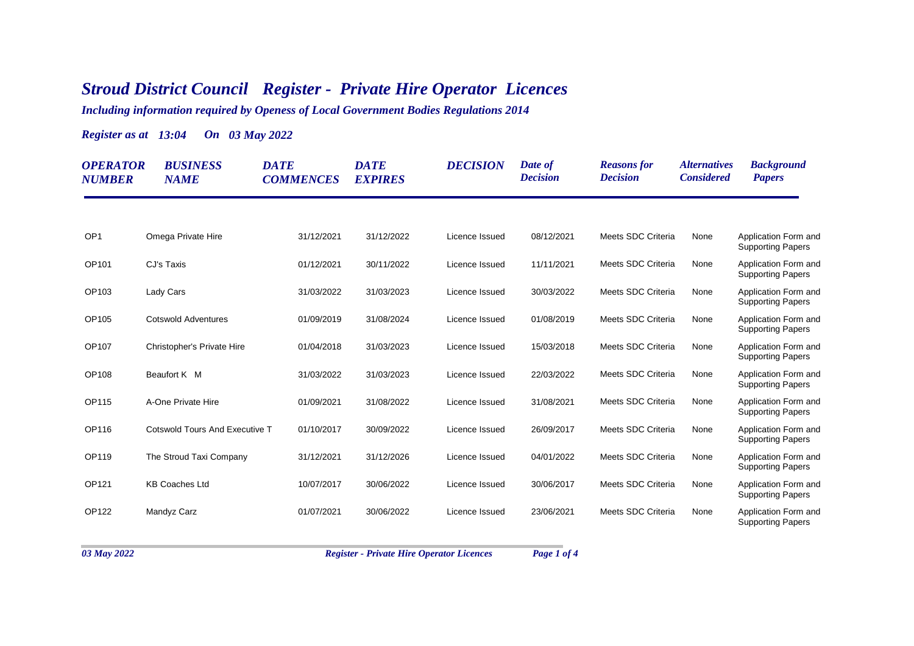## *Stroud District Council Register - Private Hire Operator Licences*

*Including information required by Openess of Local Government Bodies Regulations 2014*

*Register as at 13:04 On 03 May 2022*

| <b>OPERATOR</b><br><b>NUMBER</b> | <b>BUSINESS</b><br><b>NAME</b>        | <b>DATE</b><br><b>COMMENCES</b> | <b>DATE</b><br><b>EXPIRES</b> | <b>DECISION</b> | Date of<br><b>Decision</b> | <b>Reasons</b> for<br><b>Decision</b> | <i><b>Alternatives</b></i><br><b>Considered</b> | <b>Background</b><br><b>Papers</b>               |
|----------------------------------|---------------------------------------|---------------------------------|-------------------------------|-----------------|----------------------------|---------------------------------------|-------------------------------------------------|--------------------------------------------------|
|                                  |                                       |                                 |                               |                 |                            |                                       |                                                 |                                                  |
| OP <sub>1</sub>                  | Omega Private Hire                    | 31/12/2021                      | 31/12/2022                    | Licence Issued  | 08/12/2021                 | Meets SDC Criteria                    | None                                            | Application Form and<br><b>Supporting Papers</b> |
| OP101                            | CJ's Taxis                            | 01/12/2021                      | 30/11/2022                    | Licence Issued  | 11/11/2021                 | Meets SDC Criteria                    | None                                            | Application Form and<br><b>Supporting Papers</b> |
| OP103                            | Lady Cars                             | 31/03/2022                      | 31/03/2023                    | Licence Issued  | 30/03/2022                 | Meets SDC Criteria                    | None                                            | Application Form and<br><b>Supporting Papers</b> |
| OP105                            | <b>Cotswold Adventures</b>            | 01/09/2019                      | 31/08/2024                    | Licence Issued  | 01/08/2019                 | Meets SDC Criteria                    | None                                            | Application Form and<br><b>Supporting Papers</b> |
| OP107                            | Christopher's Private Hire            | 01/04/2018                      | 31/03/2023                    | Licence Issued  | 15/03/2018                 | Meets SDC Criteria                    | None                                            | Application Form and<br><b>Supporting Papers</b> |
| OP108                            | Beaufort K M                          | 31/03/2022                      | 31/03/2023                    | Licence Issued  | 22/03/2022                 | Meets SDC Criteria                    | None                                            | Application Form and<br><b>Supporting Papers</b> |
| OP115                            | A-One Private Hire                    | 01/09/2021                      | 31/08/2022                    | Licence Issued  | 31/08/2021                 | Meets SDC Criteria                    | None                                            | Application Form and<br><b>Supporting Papers</b> |
| OP116                            | <b>Cotswold Tours And Executive T</b> | 01/10/2017                      | 30/09/2022                    | Licence Issued  | 26/09/2017                 | Meets SDC Criteria                    | None                                            | Application Form and<br><b>Supporting Papers</b> |
| OP119                            | The Stroud Taxi Company               | 31/12/2021                      | 31/12/2026                    | Licence Issued  | 04/01/2022                 | Meets SDC Criteria                    | None                                            | Application Form and<br><b>Supporting Papers</b> |
| OP121                            | <b>KB Coaches Ltd</b>                 | 10/07/2017                      | 30/06/2022                    | Licence Issued  | 30/06/2017                 | Meets SDC Criteria                    | None                                            | Application Form and<br><b>Supporting Papers</b> |
| <b>OP122</b>                     | Mandyz Carz                           | 01/07/2021                      | 30/06/2022                    | Licence Issued  | 23/06/2021                 | Meets SDC Criteria                    | None                                            | Application Form and<br><b>Supporting Papers</b> |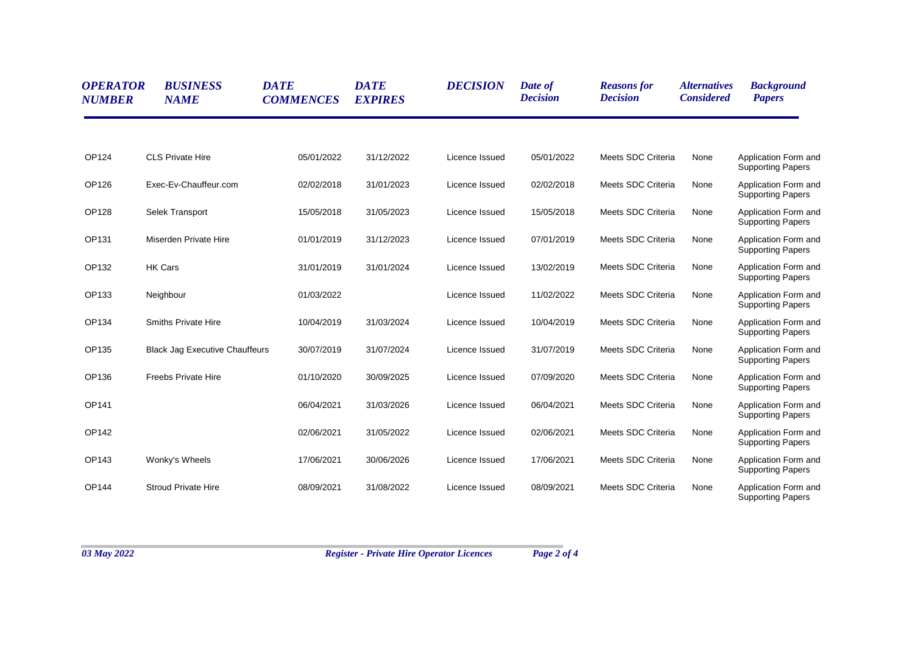| <b>OPERATOR</b><br><b>NUMBER</b> | <b>BUSINESS</b><br><b>NAME</b>        | <b>DATE</b><br><b>COMMENCES</b> | <b>DATE</b><br><b>EXPIRES</b> | <b>DECISION</b> | Date of<br><b>Decision</b> | <b>Reasons for</b><br><b>Decision</b> | <i><b>Alternatives</b></i><br><b>Considered</b> | <b>Background</b><br><b>Papers</b>               |
|----------------------------------|---------------------------------------|---------------------------------|-------------------------------|-----------------|----------------------------|---------------------------------------|-------------------------------------------------|--------------------------------------------------|
| OP124                            | <b>CLS Private Hire</b>               | 05/01/2022                      | 31/12/2022                    | Licence Issued  | 05/01/2022                 | Meets SDC Criteria                    | None                                            | Application Form and<br><b>Supporting Papers</b> |
| OP126                            | Exec-Ev-Chauffeur.com                 | 02/02/2018                      | 31/01/2023                    | Licence Issued  | 02/02/2018                 | Meets SDC Criteria                    | None                                            | Application Form and<br><b>Supporting Papers</b> |
| OP128                            | Selek Transport                       | 15/05/2018                      | 31/05/2023                    | Licence Issued  | 15/05/2018                 | Meets SDC Criteria                    | None                                            | Application Form and<br><b>Supporting Papers</b> |
| OP131                            | Miserden Private Hire                 | 01/01/2019                      | 31/12/2023                    | Licence Issued  | 07/01/2019                 | Meets SDC Criteria                    | None                                            | Application Form and<br><b>Supporting Papers</b> |
| OP132                            | <b>HK Cars</b>                        | 31/01/2019                      | 31/01/2024                    | Licence Issued  | 13/02/2019                 | Meets SDC Criteria                    | None                                            | Application Form and<br><b>Supporting Papers</b> |
| OP133                            | Neighbour                             | 01/03/2022                      |                               | Licence Issued  | 11/02/2022                 | Meets SDC Criteria                    | None                                            | Application Form and<br><b>Supporting Papers</b> |
| OP134                            | <b>Smiths Private Hire</b>            | 10/04/2019                      | 31/03/2024                    | Licence Issued  | 10/04/2019                 | Meets SDC Criteria                    | None                                            | Application Form and<br><b>Supporting Papers</b> |
| OP135                            | <b>Black Jag Executive Chauffeurs</b> | 30/07/2019                      | 31/07/2024                    | Licence Issued  | 31/07/2019                 | Meets SDC Criteria                    | None                                            | Application Form and<br><b>Supporting Papers</b> |
| OP136                            | <b>Freebs Private Hire</b>            | 01/10/2020                      | 30/09/2025                    | Licence Issued  | 07/09/2020                 | Meets SDC Criteria                    | None                                            | Application Form and<br><b>Supporting Papers</b> |
| OP141                            |                                       | 06/04/2021                      | 31/03/2026                    | Licence Issued  | 06/04/2021                 | Meets SDC Criteria                    | None                                            | Application Form and<br><b>Supporting Papers</b> |
| OP142                            |                                       | 02/06/2021                      | 31/05/2022                    | Licence Issued  | 02/06/2021                 | Meets SDC Criteria                    | None                                            | Application Form and<br><b>Supporting Papers</b> |
| OP143                            | Wonky's Wheels                        | 17/06/2021                      | 30/06/2026                    | Licence Issued  | 17/06/2021                 | Meets SDC Criteria                    | None                                            | Application Form and<br><b>Supporting Papers</b> |
| <b>OP144</b>                     | <b>Stroud Private Hire</b>            | 08/09/2021                      | 31/08/2022                    | Licence Issued  | 08/09/2021                 | Meets SDC Criteria                    | None                                            | Application Form and<br><b>Supporting Papers</b> |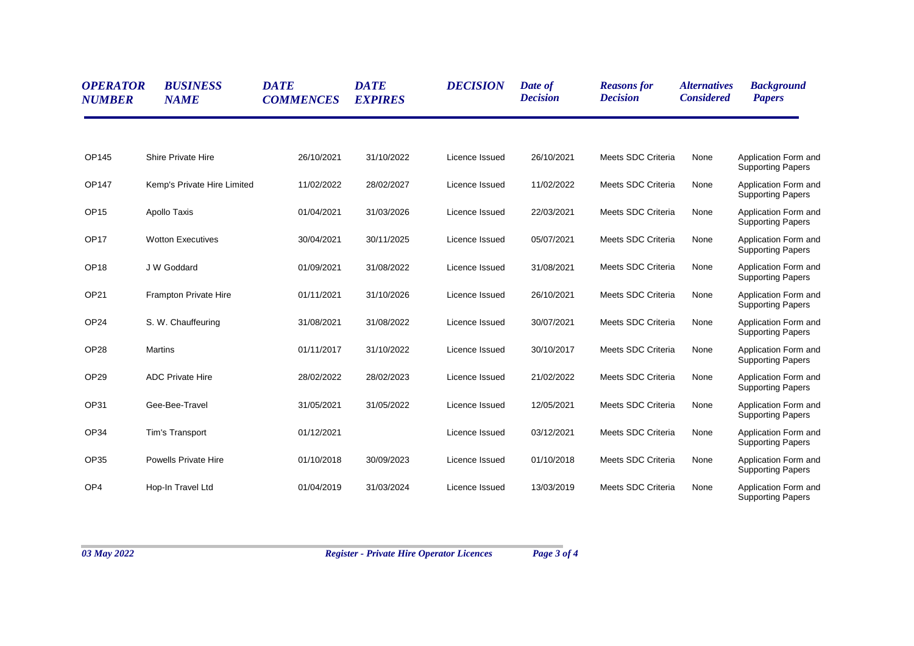| <b>OPERATOR</b><br><b>NUMBER</b> | <b>BUSINESS</b><br><b>NAME</b> | <b>DATE</b><br><b>COMMENCES</b> | <b>DATE</b><br><b>EXPIRES</b> | <b>DECISION</b> | Date of<br><b>Decision</b> | <b>Reasons for</b><br><b>Decision</b> | <i><b>Alternatives</b></i><br><b>Considered</b> | <b>Background</b><br><b>Papers</b>               |
|----------------------------------|--------------------------------|---------------------------------|-------------------------------|-----------------|----------------------------|---------------------------------------|-------------------------------------------------|--------------------------------------------------|
| <b>OP145</b>                     | <b>Shire Private Hire</b>      | 26/10/2021                      | 31/10/2022                    | Licence Issued  | 26/10/2021                 | Meets SDC Criteria                    | None                                            | Application Form and<br><b>Supporting Papers</b> |
| OP147                            | Kemp's Private Hire Limited    | 11/02/2022                      | 28/02/2027                    | Licence Issued  | 11/02/2022                 | Meets SDC Criteria                    | None                                            | Application Form and<br><b>Supporting Papers</b> |
| OP <sub>15</sub>                 | Apollo Taxis                   | 01/04/2021                      | 31/03/2026                    | Licence Issued  | 22/03/2021                 | Meets SDC Criteria                    | None                                            | Application Form and<br><b>Supporting Papers</b> |
| OP <sub>17</sub>                 | <b>Wotton Executives</b>       | 30/04/2021                      | 30/11/2025                    | Licence Issued  | 05/07/2021                 | Meets SDC Criteria                    | None                                            | Application Form and<br><b>Supporting Papers</b> |
| OP <sub>18</sub>                 | J W Goddard                    | 01/09/2021                      | 31/08/2022                    | Licence Issued  | 31/08/2021                 | Meets SDC Criteria                    | None                                            | Application Form and<br><b>Supporting Papers</b> |
| OP21                             | <b>Frampton Private Hire</b>   | 01/11/2021                      | 31/10/2026                    | Licence Issued  | 26/10/2021                 | Meets SDC Criteria                    | None                                            | Application Form and<br><b>Supporting Papers</b> |
| OP <sub>24</sub>                 | S. W. Chauffeuring             | 31/08/2021                      | 31/08/2022                    | Licence Issued  | 30/07/2021                 | Meets SDC Criteria                    | None                                            | Application Form and<br><b>Supporting Papers</b> |
| OP <sub>28</sub>                 | <b>Martins</b>                 | 01/11/2017                      | 31/10/2022                    | Licence Issued  | 30/10/2017                 | Meets SDC Criteria                    | None                                            | Application Form and<br><b>Supporting Papers</b> |
| OP <sub>29</sub>                 | <b>ADC Private Hire</b>        | 28/02/2022                      | 28/02/2023                    | Licence Issued  | 21/02/2022                 | Meets SDC Criteria                    | None                                            | Application Form and<br><b>Supporting Papers</b> |
| OP31                             | Gee-Bee-Travel                 | 31/05/2021                      | 31/05/2022                    | Licence Issued  | 12/05/2021                 | Meets SDC Criteria                    | None                                            | Application Form and<br><b>Supporting Papers</b> |
| OP34                             | Tim's Transport                | 01/12/2021                      |                               | Licence Issued  | 03/12/2021                 | Meets SDC Criteria                    | None                                            | Application Form and<br><b>Supporting Papers</b> |
| OP35                             | <b>Powells Private Hire</b>    | 01/10/2018                      | 30/09/2023                    | Licence Issued  | 01/10/2018                 | Meets SDC Criteria                    | None                                            | Application Form and<br><b>Supporting Papers</b> |
| OP <sub>4</sub>                  | Hop-In Travel Ltd              | 01/04/2019                      | 31/03/2024                    | Licence Issued  | 13/03/2019                 | Meets SDC Criteria                    | None                                            | Application Form and<br><b>Supporting Papers</b> |